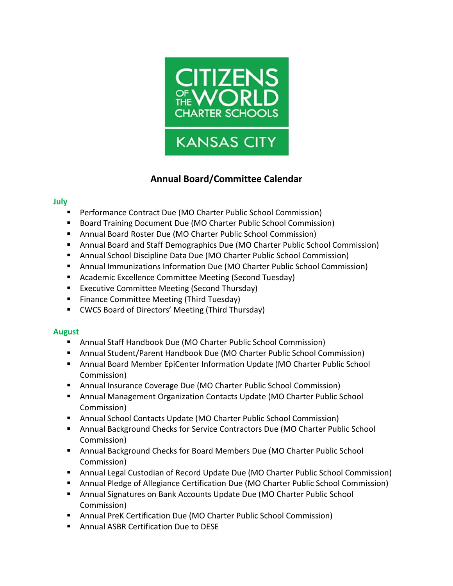

# **Annual Board/Committee Calendar**

### **July**

- Performance Contract Due (MO Charter Public School Commission)
- Board Training Document Due (MO Charter Public School Commission)
- Annual Board Roster Due (MO Charter Public School Commission)
- **E** Annual Board and Staff Demographics Due (MO Charter Public School Commission)
- Annual School Discipline Data Due (MO Charter Public School Commission)
- **E** Annual Immunizations Information Due (MO Charter Public School Commission)
- Academic Excellence Committee Meeting (Second Tuesday)
- Executive Committee Meeting (Second Thursday)
- Finance Committee Meeting (Third Tuesday)
- CWCS Board of Directors' Meeting (Third Thursday)

### **August**

- Annual Staff Handbook Due (MO Charter Public School Commission)
- Annual Student/Parent Handbook Due (MO Charter Public School Commission)
- Annual Board Member EpiCenter Information Update (MO Charter Public School Commission)
- Annual Insurance Coverage Due (MO Charter Public School Commission)
- Annual Management Organization Contacts Update (MO Charter Public School Commission)
- Annual School Contacts Update (MO Charter Public School Commission)
- Annual Background Checks for Service Contractors Due (MO Charter Public School Commission)
- Annual Background Checks for Board Members Due (MO Charter Public School Commission)
- Annual Legal Custodian of Record Update Due (MO Charter Public School Commission)
- **E** Annual Pledge of Allegiance Certification Due (MO Charter Public School Commission)
- **E** Annual Signatures on Bank Accounts Update Due (MO Charter Public School Commission)
- Annual PreK Certification Due (MO Charter Public School Commission)
- Annual ASBR Certification Due to DESE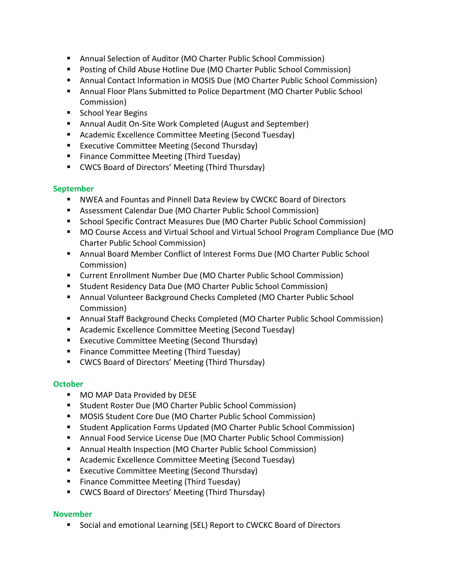- Annual Selection of Auditor (MO Charter Public School Commission)
- Posting of Child Abuse Hotline Due (MO Charter Public School Commission)
- **E** Annual Contact Information in MOSIS Due (MO Charter Public School Commission)
- **■** Annual Floor Plans Submitted to Police Department (MO Charter Public School Commission)
- School Year Begins
- Annual Audit On-Site Work Completed (August and September)
- Academic Excellence Committee Meeting (Second Tuesday)
- Executive Committee Meeting (Second Thursday)
- Finance Committee Meeting (Third Tuesday)
- CWCS Board of Directors' Meeting (Third Thursday)

### **September**

- **E** NWEA and Fountas and Pinnell Data Review by CWCKC Board of Directors
- Assessment Calendar Due (MO Charter Public School Commission)
- School Specific Contract Measures Due (MO Charter Public School Commission)
- MO Course Access and Virtual School and Virtual School Program Compliance Due (MO Charter Public School Commission)
- **■** Annual Board Member Conflict of Interest Forms Due (MO Charter Public School Commission)
- Current Enrollment Number Due (MO Charter Public School Commission)
- Student Residency Data Due (MO Charter Public School Commission)
- **E** Annual Volunteer Background Checks Completed (MO Charter Public School Commission)
- Annual Staff Background Checks Completed (MO Charter Public School Commission)
- Academic Excellence Committee Meeting (Second Tuesday)
- Executive Committee Meeting (Second Thursday)
- Finance Committee Meeting (Third Tuesday)
- CWCS Board of Directors' Meeting (Third Thursday)

# **October**

- MO MAP Data Provided by DESE
- Student Roster Due (MO Charter Public School Commission)
- MOSIS Student Core Due (MO Charter Public School Commission)
- Student Application Forms Updated (MO Charter Public School Commission)
- Annual Food Service License Due (MO Charter Public School Commission)
- Annual Health Inspection (MO Charter Public School Commission)
- Academic Excellence Committee Meeting (Second Tuesday)
- Executive Committee Meeting (Second Thursday)
- Finance Committee Meeting (Third Tuesday)
- CWCS Board of Directors' Meeting (Third Thursday)

# **November**

■ Social and emotional Learning (SEL) Report to CWCKC Board of Directors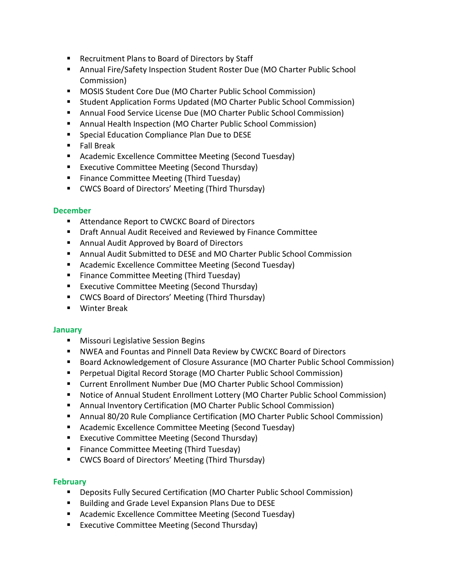- Recruitment Plans to Board of Directors by Staff
- **E** Annual Fire/Safety Inspection Student Roster Due (MO Charter Public School Commission)
- MOSIS Student Core Due (MO Charter Public School Commission)
- Student Application Forms Updated (MO Charter Public School Commission)
- **E** Annual Food Service License Due (MO Charter Public School Commission)
- Annual Health Inspection (MO Charter Public School Commission)
- Special Education Compliance Plan Due to DESE
- Fall Break
- Academic Excellence Committee Meeting (Second Tuesday)
- Executive Committee Meeting (Second Thursday)
- Finance Committee Meeting (Third Tuesday)
- CWCS Board of Directors' Meeting (Third Thursday)

#### **December**

- Attendance Report to CWCKC Board of Directors
- Draft Annual Audit Received and Reviewed by Finance Committee
- Annual Audit Approved by Board of Directors
- Annual Audit Submitted to DESE and MO Charter Public School Commission
- Academic Excellence Committee Meeting (Second Tuesday)
- Finance Committee Meeting (Third Tuesday)
- Executive Committee Meeting (Second Thursday)
- CWCS Board of Directors' Meeting (Third Thursday)
- Winter Break

#### **January**

- **■** Missouri Legislative Session Begins
- **E** NWEA and Fountas and Pinnell Data Review by CWCKC Board of Directors
- Board Acknowledgement of Closure Assurance (MO Charter Public School Commission)
- Perpetual Digital Record Storage (MO Charter Public School Commission)
- Current Enrollment Number Due (MO Charter Public School Commission)
- Notice of Annual Student Enrollment Lottery (MO Charter Public School Commission)
- Annual Inventory Certification (MO Charter Public School Commission)
- Annual 80/20 Rule Compliance Certification (MO Charter Public School Commission)
- Academic Excellence Committee Meeting (Second Tuesday)
- Executive Committee Meeting (Second Thursday)
- Finance Committee Meeting (Third Tuesday)
- CWCS Board of Directors' Meeting (Third Thursday)

### **February**

- **•** Deposits Fully Secured Certification (MO Charter Public School Commission)
- Building and Grade Level Expansion Plans Due to DESE
- Academic Excellence Committee Meeting (Second Tuesday)
- Executive Committee Meeting (Second Thursday)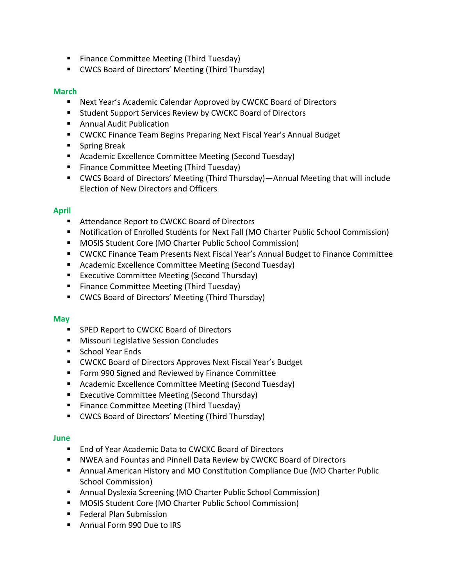- Finance Committee Meeting (Third Tuesday)
- CWCS Board of Directors' Meeting (Third Thursday)

#### **March**

- Next Year's Academic Calendar Approved by CWCKC Board of Directors
- Student Support Services Review by CWCKC Board of Directors
- Annual Audit Publication
- CWCKC Finance Team Begins Preparing Next Fiscal Year's Annual Budget
- Spring Break
- Academic Excellence Committee Meeting (Second Tuesday)
- Finance Committee Meeting (Third Tuesday)
- CWCS Board of Directors' Meeting (Third Thursday)—Annual Meeting that will include Election of New Directors and Officers

#### **April**

- Attendance Report to CWCKC Board of Directors
- Notification of Enrolled Students for Next Fall (MO Charter Public School Commission)
- MOSIS Student Core (MO Charter Public School Commission)
- CWCKC Finance Team Presents Next Fiscal Year's Annual Budget to Finance Committee
- Academic Excellence Committee Meeting (Second Tuesday)
- Executive Committee Meeting (Second Thursday)
- Finance Committee Meeting (Third Tuesday)
- CWCS Board of Directors' Meeting (Third Thursday)

#### **May**

- SPED Report to CWCKC Board of Directors
- Missouri Legislative Session Concludes
- School Year Ends
- CWCKC Board of Directors Approves Next Fiscal Year's Budget
- Form 990 Signed and Reviewed by Finance Committee
- Academic Excellence Committee Meeting (Second Tuesday)
- Executive Committee Meeting (Second Thursday)
- Finance Committee Meeting (Third Tuesday)
- CWCS Board of Directors' Meeting (Third Thursday)

#### **June**

- End of Year Academic Data to CWCKC Board of Directors
- NWEA and Fountas and Pinnell Data Review by CWCKC Board of Directors
- Annual American History and MO Constitution Compliance Due (MO Charter Public School Commission)
- Annual Dyslexia Screening (MO Charter Public School Commission)
- MOSIS Student Core (MO Charter Public School Commission)
- Federal Plan Submission
- Annual Form 990 Due to IRS